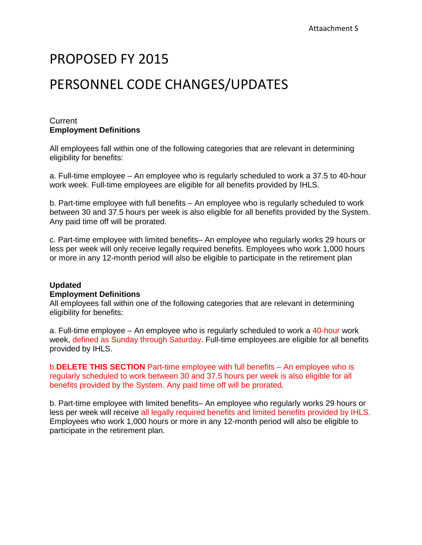# PROPOSED FY 2015

# PERSONNEL CODE CHANGES/UPDATES

#### **Current Employment Definitions**

All employees fall within one of the following categories that are relevant in determining eligibility for benefits:

a. Full-time employee – An employee who is regularly scheduled to work a 37.5 to 40-hour work week. Full-time employees are eligible for all benefits provided by IHLS.

b. Part-time employee with full benefits – An employee who is regularly scheduled to work between 30 and 37.5 hours per week is also eligible for all benefits provided by the System. Any paid time off will be prorated.

c. Part-time employee with limited benefits– An employee who regularly works 29 hours or less per week will only receive legally required benefits. Employees who work 1,000 hours or more in any 12-month period will also be eligible to participate in the retirement plan

## **Updated**

#### **Employment Definitions**

All employees fall within one of the following categories that are relevant in determining eligibility for benefits:

a. Full-time employee – An employee who is regularly scheduled to work a 40-hour work week, defined as Sunday through Saturday. Full-time employees are eligible for all benefits provided by IHLS.

b.**DELETE THIS SECTION** Part-time employee with full benefits – An employee who is regularly scheduled to work between 30 and 37.5 hours per week is also eligible for all benefits provided by the System. Any paid time off will be prorated.

b. Part-time employee with limited benefits– An employee who regularly works 29 hours or less per week will receive all legally required benefits and limited benefits provided by IHLS. Employees who work 1,000 hours or more in any 12-month period will also be eligible to participate in the retirement plan.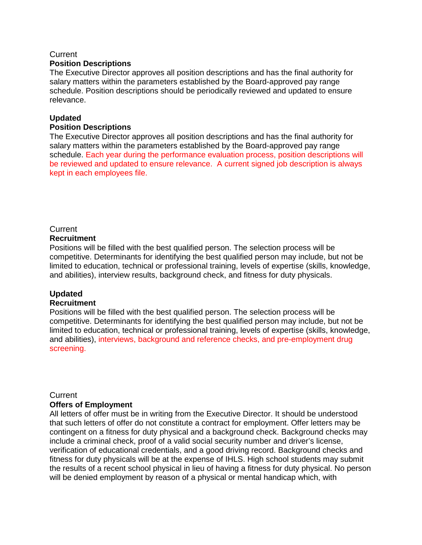## **Current**

#### **Position Descriptions**

The Executive Director approves all position descriptions and has the final authority for salary matters within the parameters established by the Board-approved pay range schedule. Position descriptions should be periodically reviewed and updated to ensure relevance.

#### **Updated**

#### **Position Descriptions**

The Executive Director approves all position descriptions and has the final authority for salary matters within the parameters established by the Board-approved pay range schedule. Each year during the performance evaluation process, position descriptions will be reviewed and updated to ensure relevance. A current signed job description is always kept in each employees file.

## **Current**

## **Recruitment**

Positions will be filled with the best qualified person. The selection process will be competitive. Determinants for identifying the best qualified person may include, but not be limited to education, technical or professional training, levels of expertise (skills, knowledge, and abilities), interview results, background check, and fitness for duty physicals.

## **Updated**

#### **Recruitment**

Positions will be filled with the best qualified person. The selection process will be competitive. Determinants for identifying the best qualified person may include, but not be limited to education, technical or professional training, levels of expertise (skills, knowledge, and abilities), interviews, background and reference checks, and pre-employment drug screening.

#### **Current**

#### **Offers of Employment**

All letters of offer must be in writing from the Executive Director. It should be understood that such letters of offer do not constitute a contract for employment. Offer letters may be contingent on a fitness for duty physical and a background check. Background checks may include a criminal check, proof of a valid social security number and driver's license, verification of educational credentials, and a good driving record. Background checks and fitness for duty physicals will be at the expense of IHLS. High school students may submit the results of a recent school physical in lieu of having a fitness for duty physical. No person will be denied employment by reason of a physical or mental handicap which, with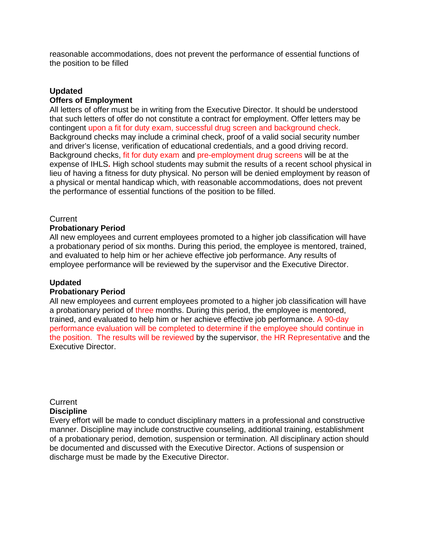reasonable accommodations, does not prevent the performance of essential functions of the position to be filled

## **Updated**

#### **Offers of Employment**

All letters of offer must be in writing from the Executive Director. It should be understood that such letters of offer do not constitute a contract for employment. Offer letters may be contingent upon a fit for duty exam, successful drug screen and background check. Background checks may include a criminal check, proof of a valid social security number and driver's license, verification of educational credentials, and a good driving record. Background checks, fit for duty exam and pre-employment drug screens will be at the expense of IHLS**.** High school students may submit the results of a recent school physical in lieu of having a fitness for duty physical. No person will be denied employment by reason of a physical or mental handicap which, with reasonable accommodations, does not prevent the performance of essential functions of the position to be filled.

#### **Current**

#### **Probationary Period**

All new employees and current employees promoted to a higher job classification will have a probationary period of six months. During this period, the employee is mentored, trained, and evaluated to help him or her achieve effective job performance. Any results of employee performance will be reviewed by the supervisor and the Executive Director.

#### **Updated**

#### **Probationary Period**

All new employees and current employees promoted to a higher job classification will have a probationary period of three months. During this period, the employee is mentored, trained, and evaluated to help him or her achieve effective job performance. A 90-day performance evaluation will be completed to determine if the employee should continue in the position. The results will be reviewed by the supervisor, the HR Representative and the Executive Director.

#### **Current Discipline**

Every effort will be made to conduct disciplinary matters in a professional and constructive manner. Discipline may include constructive counseling, additional training, establishment of a probationary period, demotion, suspension or termination. All disciplinary action should be documented and discussed with the Executive Director. Actions of suspension or discharge must be made by the Executive Director.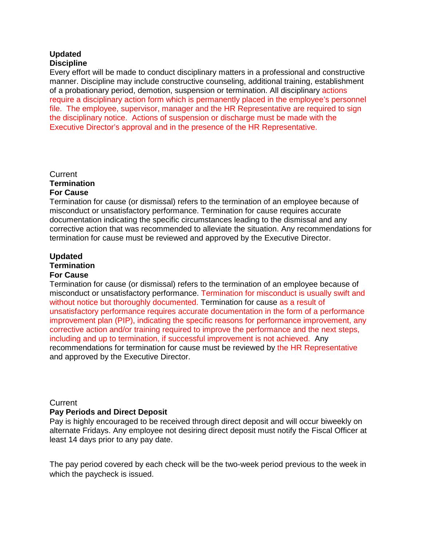## **Updated**

## **Discipline**

Every effort will be made to conduct disciplinary matters in a professional and constructive manner. Discipline may include constructive counseling, additional training, establishment of a probationary period, demotion, suspension or termination. All disciplinary actions require a disciplinary action form which is permanently placed in the employee's personnel file. The employee, supervisor, manager and the HR Representative are required to sign the disciplinary notice. Actions of suspension or discharge must be made with the Executive Director's approval and in the presence of the HR Representative.

#### **Current Termination For Cause**

Termination for cause (or dismissal) refers to the termination of an employee because of misconduct or unsatisfactory performance. Termination for cause requires accurate documentation indicating the specific circumstances leading to the dismissal and any corrective action that was recommended to alleviate the situation. Any recommendations for termination for cause must be reviewed and approved by the Executive Director.

## **Updated**

## **Termination**

## **For Cause**

Termination for cause (or dismissal) refers to the termination of an employee because of misconduct or unsatisfactory performance. Termination for misconduct is usually swift and without notice but thoroughly documented. Termination for cause as a result of unsatisfactory performance requires accurate documentation in the form of a performance improvement plan (PIP), indicating the specific reasons for performance improvement, any corrective action and/or training required to improve the performance and the next steps, including and up to termination, if successful improvement is not achieved. Any recommendations for termination for cause must be reviewed by the HR Representative and approved by the Executive Director.

## **Current**

#### **Pay Periods and Direct Deposit**

Pay is highly encouraged to be received through direct deposit and will occur biweekly on alternate Fridays. Any employee not desiring direct deposit must notify the Fiscal Officer at least 14 days prior to any pay date.

The pay period covered by each check will be the two-week period previous to the week in which the paycheck is issued.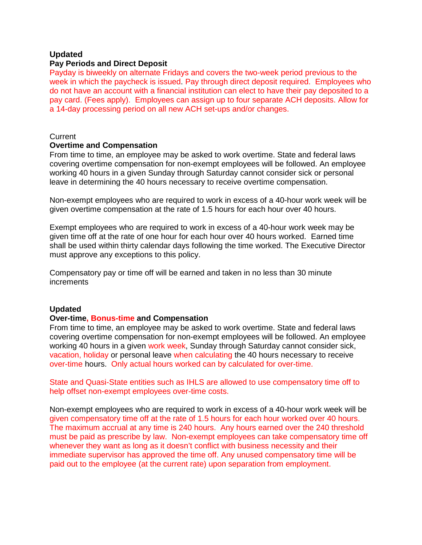#### **Updated**

#### **Pay Periods and Direct Deposit**

Payday is biweekly on alternate Fridays and covers the two-week period previous to the week in which the paycheck is issued. Pay through direct deposit required. Employees who do not have an account with a financial institution can elect to have their pay deposited to a pay card. (Fees apply). Employees can assign up to four separate ACH deposits. Allow for a 14-day processing period on all new ACH set-ups and/or changes.

#### **Current**

#### **Overtime and Compensation**

From time to time, an employee may be asked to work overtime. State and federal laws covering overtime compensation for non-exempt employees will be followed. An employee working 40 hours in a given Sunday through Saturday cannot consider sick or personal leave in determining the 40 hours necessary to receive overtime compensation.

Non-exempt employees who are required to work in excess of a 40-hour work week will be given overtime compensation at the rate of 1.5 hours for each hour over 40 hours.

Exempt employees who are required to work in excess of a 40-hour work week may be given time off at the rate of one hour for each hour over 40 hours worked. Earned time shall be used within thirty calendar days following the time worked. The Executive Director must approve any exceptions to this policy.

Compensatory pay or time off will be earned and taken in no less than 30 minute increments

#### **Updated**

#### **Over-time, Bonus-time and Compensation**

From time to time, an employee may be asked to work overtime. State and federal laws covering overtime compensation for non-exempt employees will be followed. An employee working 40 hours in a given work week, Sunday through Saturday cannot consider sick, vacation, holiday or personal leave when calculating the 40 hours necessary to receive over-time hours. Only actual hours worked can by calculated for over-time.

State and Quasi-State entities such as IHLS are allowed to use compensatory time off to help offset non-exempt employees over-time costs.

Non-exempt employees who are required to work in excess of a 40-hour work week will be given compensatory time off at the rate of 1.5 hours for each hour worked over 40 hours. The maximum accrual at any time is 240 hours. Any hours earned over the 240 threshold must be paid as prescribe by law. Non-exempt employees can take compensatory time off whenever they want as long as it doesn't conflict with business necessity and their immediate supervisor has approved the time off. Any unused compensatory time will be paid out to the employee (at the current rate) upon separation from employment.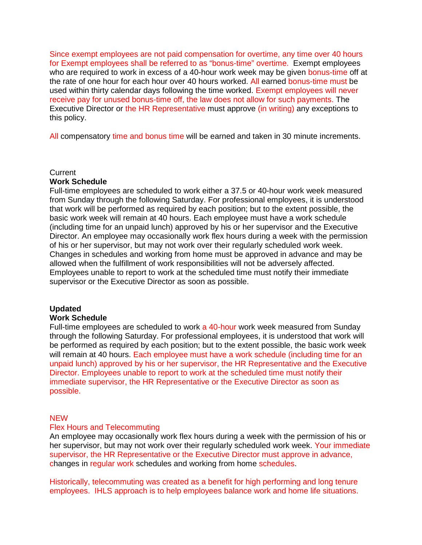Since exempt employees are not paid compensation for overtime, any time over 40 hours for Exempt employees shall be referred to as "bonus-time" overtime. Exempt employees who are required to work in excess of a 40-hour work week may be given bonus-time off at the rate of one hour for each hour over 40 hours worked. All earned bonus-time must be used within thirty calendar days following the time worked. Exempt employees will never receive pay for unused bonus-time off, the law does not allow for such payments. The Executive Director or the HR Representative must approve (in writing) any exceptions to this policy.

All compensatory time and bonus time will be earned and taken in 30 minute increments.

#### Current

#### **Work Schedule**

Full-time employees are scheduled to work either a 37.5 or 40-hour work week measured from Sunday through the following Saturday. For professional employees, it is understood that work will be performed as required by each position; but to the extent possible, the basic work week will remain at 40 hours. Each employee must have a work schedule (including time for an unpaid lunch) approved by his or her supervisor and the Executive Director. An employee may occasionally work flex hours during a week with the permission of his or her supervisor, but may not work over their regularly scheduled work week. Changes in schedules and working from home must be approved in advance and may be allowed when the fulfillment of work responsibilities will not be adversely affected. Employees unable to report to work at the scheduled time must notify their immediate supervisor or the Executive Director as soon as possible.

#### **Updated**

#### **Work Schedule**

Full-time employees are scheduled to work a 40-hour work week measured from Sunday through the following Saturday. For professional employees, it is understood that work will be performed as required by each position; but to the extent possible, the basic work week will remain at 40 hours. Each employee must have a work schedule (including time for an unpaid lunch) approved by his or her supervisor, the HR Representative and the Executive Director. Employees unable to report to work at the scheduled time must notify their immediate supervisor, the HR Representative or the Executive Director as soon as possible.

#### NEW

#### Flex Hours and Telecommuting

An employee may occasionally work flex hours during a week with the permission of his or her supervisor, but may not work over their regularly scheduled work week. Your immediate supervisor, the HR Representative or the Executive Director must approve in advance, changes in regular work schedules and working from home schedules.

Historically, telecommuting was created as a benefit for high performing and long tenure employees. IHLS approach is to help employees balance work and home life situations.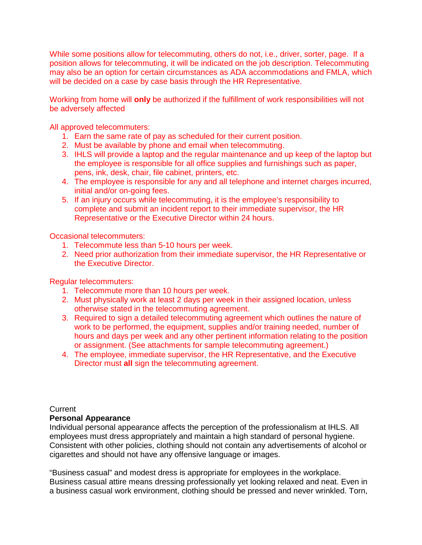While some positions allow for telecommuting, others do not, i.e., driver, sorter, page. If a position allows for telecommuting, it will be indicated on the job description. Telecommuting may also be an option for certain circumstances as ADA accommodations and FMLA, which will be decided on a case by case basis through the HR Representative.

Working from home will **only** be authorized if the fulfillment of work responsibilities will not be adversely affected

All approved telecommuters:

- 1. Earn the same rate of pay as scheduled for their current position.
- 2. Must be available by phone and email when telecommuting.
- 3. IHLS will provide a laptop and the regular maintenance and up keep of the laptop but the employee is responsible for all office supplies and furnishings such as paper, pens, ink, desk, chair, file cabinet, printers, etc.
- 4. The employee is responsible for any and all telephone and internet charges incurred, initial and/or on-going fees.
- 5. If an injury occurs while telecommuting, it is the employee's responsibility to complete and submit an incident report to their immediate supervisor, the HR Representative or the Executive Director within 24 hours.

Occasional telecommuters:

- 1. Telecommute less than 5-10 hours per week.
- 2. Need prior authorization from their immediate supervisor, the HR Representative or the Executive Director.

Regular telecommuters:

- 1. Telecommute more than 10 hours per week.
- 2. Must physically work at least 2 days per week in their assigned location, unless otherwise stated in the telecommuting agreement.
- 3. Required to sign a detailed telecommuting agreement which outlines the nature of work to be performed, the equipment, supplies and/or training needed, number of hours and days per week and any other pertinent information relating to the position or assignment. (See attachments for sample telecommuting agreement.)
- 4. The employee, immediate supervisor, the HR Representative, and the Executive Director must **all** sign the telecommuting agreement.

**Current** 

#### **Personal Appearance**

Individual personal appearance affects the perception of the professionalism at IHLS. All employees must dress appropriately and maintain a high standard of personal hygiene. Consistent with other policies, clothing should not contain any advertisements of alcohol or cigarettes and should not have any offensive language or images.

"Business casual" and modest dress is appropriate for employees in the workplace. Business casual attire means dressing professionally yet looking relaxed and neat. Even in a business casual work environment, clothing should be pressed and never wrinkled. Torn,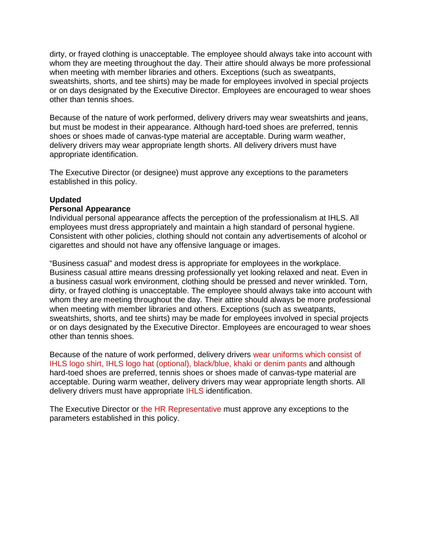dirty, or frayed clothing is unacceptable. The employee should always take into account with whom they are meeting throughout the day. Their attire should always be more professional when meeting with member libraries and others. Exceptions (such as sweatpants, sweatshirts, shorts, and tee shirts) may be made for employees involved in special projects or on days designated by the Executive Director. Employees are encouraged to wear shoes other than tennis shoes.

Because of the nature of work performed, delivery drivers may wear sweatshirts and jeans, but must be modest in their appearance. Although hard-toed shoes are preferred, tennis shoes or shoes made of canvas-type material are acceptable. During warm weather, delivery drivers may wear appropriate length shorts. All delivery drivers must have appropriate identification.

The Executive Director (or designee) must approve any exceptions to the parameters established in this policy.

### **Updated**

#### **Personal Appearance**

Individual personal appearance affects the perception of the professionalism at IHLS. All employees must dress appropriately and maintain a high standard of personal hygiene. Consistent with other policies, clothing should not contain any advertisements of alcohol or cigarettes and should not have any offensive language or images.

"Business casual" and modest dress is appropriate for employees in the workplace. Business casual attire means dressing professionally yet looking relaxed and neat. Even in a business casual work environment, clothing should be pressed and never wrinkled. Torn, dirty, or frayed clothing is unacceptable. The employee should always take into account with whom they are meeting throughout the day. Their attire should always be more professional when meeting with member libraries and others. Exceptions (such as sweatpants, sweatshirts, shorts, and tee shirts) may be made for employees involved in special projects or on days designated by the Executive Director. Employees are encouraged to wear shoes other than tennis shoes.

Because of the nature of work performed, delivery drivers wear uniforms which consist of IHLS logo shirt, IHLS logo hat (optional), black/blue, khaki or denim pants and although hard-toed shoes are preferred, tennis shoes or shoes made of canvas-type material are acceptable. During warm weather, delivery drivers may wear appropriate length shorts. All delivery drivers must have appropriate IHLS identification.

The Executive Director or the HR Representative must approve any exceptions to the parameters established in this policy.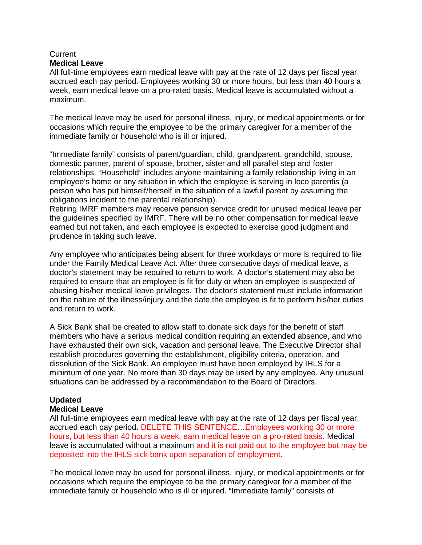#### **Current Medical Leave**

All full-time employees earn medical leave with pay at the rate of 12 days per fiscal year, accrued each pay period. Employees working 30 or more hours, but less than 40 hours a week, earn medical leave on a pro-rated basis. Medical leave is accumulated without a maximum.

The medical leave may be used for personal illness, injury, or medical appointments or for occasions which require the employee to be the primary caregiver for a member of the immediate family or household who is ill or injured.

"Immediate family" consists of parent/guardian, child, grandparent, grandchild, spouse, domestic partner, parent of spouse, brother, sister and all parallel step and foster relationships. "Household" includes anyone maintaining a family relationship living in an employee's home or any situation in which the employee is serving in loco parentis (a person who has put himself/herself in the situation of a lawful parent by assuming the obligations incident to the parental relationship).

Retiring IMRF members may receive pension service credit for unused medical leave per the guidelines specified by IMRF. There will be no other compensation for medical leave earned but not taken, and each employee is expected to exercise good judgment and prudence in taking such leave.

Any employee who anticipates being absent for three workdays or more is required to file under the Family Medical Leave Act. After three consecutive days of medical leave, a doctor's statement may be required to return to work. A doctor's statement may also be required to ensure that an employee is fit for duty or when an employee is suspected of abusing his/her medical leave privileges. The doctor's statement must include information on the nature of the illness/injury and the date the employee is fit to perform his/her duties and return to work.

A Sick Bank shall be created to allow staff to donate sick days for the benefit of staff members who have a serious medical condition requiring an extended absence, and who have exhausted their own sick, vacation and personal leave. The Executive Director shall establish procedures governing the establishment, eligibility criteria, operation, and dissolution of the Sick Bank. An employee must have been employed by IHLS for a minimum of one year. No more than 30 days may be used by any employee. Any unusual situations can be addressed by a recommendation to the Board of Directors.

## **Updated**

## **Medical Leave**

All full-time employees earn medical leave with pay at the rate of 12 days per fiscal year, accrued each pay period. DELETE THIS SENTENCE…Employees working 30 or more hours, but less than 40 hours a week, earn medical leave on a pro-rated basis. Medical leave is accumulated without a maximum and it is not paid out to the employee but may be deposited into the IHLS sick bank upon separation of employment.

The medical leave may be used for personal illness, injury, or medical appointments or for occasions which require the employee to be the primary caregiver for a member of the immediate family or household who is ill or injured. "Immediate family" consists of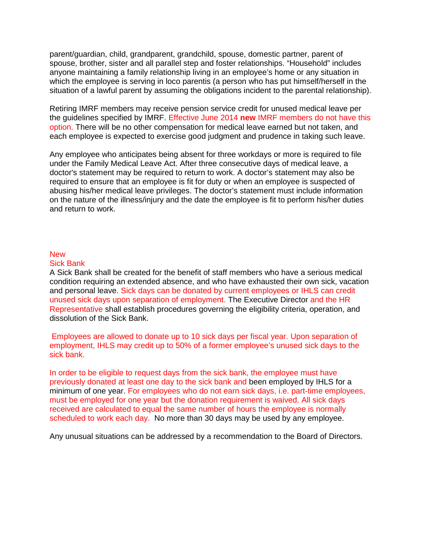parent/guardian, child, grandparent, grandchild, spouse, domestic partner, parent of spouse, brother, sister and all parallel step and foster relationships. "Household" includes anyone maintaining a family relationship living in an employee's home or any situation in which the employee is serving in loco parentis (a person who has put himself/herself in the situation of a lawful parent by assuming the obligations incident to the parental relationship).

Retiring IMRF members may receive pension service credit for unused medical leave per the guidelines specified by IMRF. Effective June 2014 **new** IMRF members do not have this option. There will be no other compensation for medical leave earned but not taken, and each employee is expected to exercise good judgment and prudence in taking such leave.

Any employee who anticipates being absent for three workdays or more is required to file under the Family Medical Leave Act. After three consecutive days of medical leave, a doctor's statement may be required to return to work. A doctor's statement may also be required to ensure that an employee is fit for duty or when an employee is suspected of abusing his/her medical leave privileges. The doctor's statement must include information on the nature of the illness/injury and the date the employee is fit to perform his/her duties and return to work.

#### **New**

#### Sick Bank

A Sick Bank shall be created for the benefit of staff members who have a serious medical condition requiring an extended absence, and who have exhausted their own sick, vacation and personal leave. Sick days can be donated by current employees or IHLS can credit unused sick days upon separation of employment. The Executive Director and the HR Representative shall establish procedures governing the eligibility criteria, operation, and dissolution of the Sick Bank.

Employees are allowed to donate up to 10 sick days per fiscal year. Upon separation of employment, IHLS may credit up to 50% of a former employee's unused sick days to the sick bank.

In order to be eligible to request days from the sick bank, the employee must have previously donated at least one day to the sick bank and been employed by IHLS for a minimum of one year. For employees who do not earn sick days, i.e. part-time employees, must be employed for one year but the donation requirement is waived. All sick days received are calculated to equal the same number of hours the employee is normally scheduled to work each day. No more than 30 days may be used by any employee.

Any unusual situations can be addressed by a recommendation to the Board of Directors.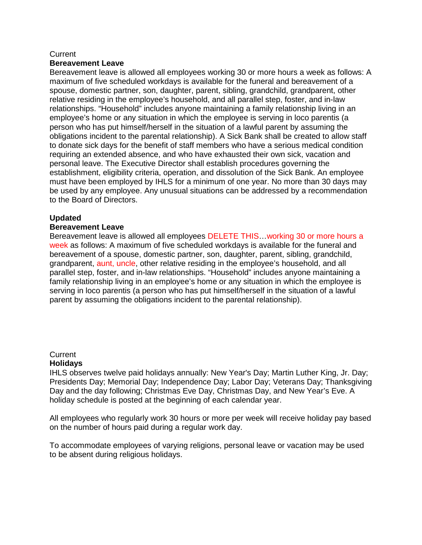#### **Current**

#### **Bereavement Leave**

Bereavement leave is allowed all employees working 30 or more hours a week as follows: A maximum of five scheduled workdays is available for the funeral and bereavement of a spouse, domestic partner, son, daughter, parent, sibling, grandchild, grandparent, other relative residing in the employee's household, and all parallel step, foster, and in-law relationships. "Household" includes anyone maintaining a family relationship living in an employee's home or any situation in which the employee is serving in loco parentis (a person who has put himself/herself in the situation of a lawful parent by assuming the obligations incident to the parental relationship). A Sick Bank shall be created to allow staff to donate sick days for the benefit of staff members who have a serious medical condition requiring an extended absence, and who have exhausted their own sick, vacation and personal leave. The Executive Director shall establish procedures governing the establishment, eligibility criteria, operation, and dissolution of the Sick Bank. An employee must have been employed by IHLS for a minimum of one year. No more than 30 days may be used by any employee. Any unusual situations can be addressed by a recommendation to the Board of Directors.

#### **Updated**

#### **Bereavement Leave**

Bereavement leave is allowed all employees DELETE THIS…working 30 or more hours a week as follows: A maximum of five scheduled workdays is available for the funeral and bereavement of a spouse, domestic partner, son, daughter, parent, sibling, grandchild, grandparent, aunt, uncle, other relative residing in the employee's household, and all parallel step, foster, and in-law relationships. "Household" includes anyone maintaining a family relationship living in an employee's home or any situation in which the employee is serving in loco parentis (a person who has put himself/herself in the situation of a lawful parent by assuming the obligations incident to the parental relationship).

#### **Current Holidays**

IHLS observes twelve paid holidays annually: New Year's Day; Martin Luther King, Jr. Day; Presidents Day; Memorial Day; Independence Day; Labor Day; Veterans Day; Thanksgiving Day and the day following; Christmas Eve Day, Christmas Day, and New Year's Eve. A holiday schedule is posted at the beginning of each calendar year.

All employees who regularly work 30 hours or more per week will receive holiday pay based on the number of hours paid during a regular work day.

To accommodate employees of varying religions, personal leave or vacation may be used to be absent during religious holidays.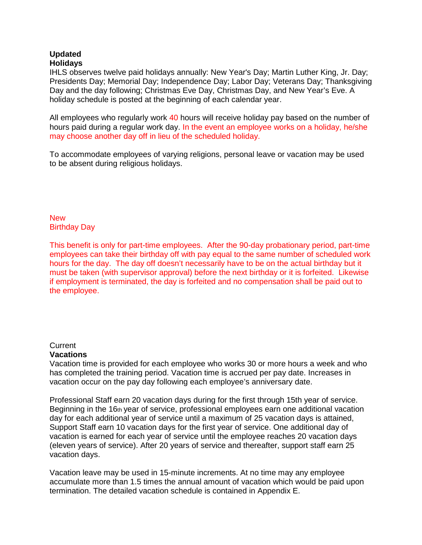#### **Updated Holidays**

IHLS observes twelve paid holidays annually: New Year's Day; Martin Luther King, Jr. Day; Presidents Day; Memorial Day; Independence Day; Labor Day; Veterans Day; Thanksgiving Day and the day following; Christmas Eve Day, Christmas Day, and New Year's Eve. A holiday schedule is posted at the beginning of each calendar year.

All employees who regularly work 40 hours will receive holiday pay based on the number of hours paid during a regular work day. In the event an employee works on a holiday, he/she may choose another day off in lieu of the scheduled holiday.

To accommodate employees of varying religions, personal leave or vacation may be used to be absent during religious holidays.

**New** Birthday Day

This benefit is only for part-time employees. After the 90-day probationary period, part-time employees can take their birthday off with pay equal to the same number of scheduled work hours for the day. The day off doesn't necessarily have to be on the actual birthday but it must be taken (with supervisor approval) before the next birthday or it is forfeited. Likewise if employment is terminated, the day is forfeited and no compensation shall be paid out to the employee.

#### **Current**

#### **Vacations**

Vacation time is provided for each employee who works 30 or more hours a week and who has completed the training period. Vacation time is accrued per pay date. Increases in vacation occur on the pay day following each employee's anniversary date.

Professional Staff earn 20 vacation days during for the first through 15th year of service. Beginning in the 16th year of service, professional employees earn one additional vacation day for each additional year of service until a maximum of 25 vacation days is attained, Support Staff earn 10 vacation days for the first year of service. One additional day of vacation is earned for each year of service until the employee reaches 20 vacation days (eleven years of service). After 20 years of service and thereafter, support staff earn 25 vacation days.

Vacation leave may be used in 15-minute increments. At no time may any employee accumulate more than 1.5 times the annual amount of vacation which would be paid upon termination. The detailed vacation schedule is contained in Appendix E.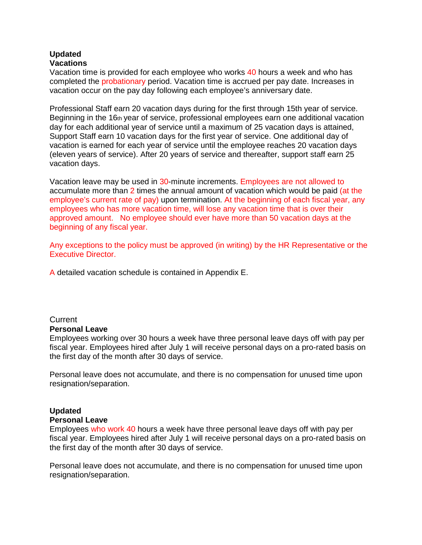#### **Updated Vacations**

Vacation time is provided for each employee who works 40 hours a week and who has completed the probationary period. Vacation time is accrued per pay date. Increases in vacation occur on the pay day following each employee's anniversary date.

Professional Staff earn 20 vacation days during for the first through 15th year of service. Beginning in the  $16<sub>th</sub>$  year of service, professional employees earn one additional vacation day for each additional year of service until a maximum of 25 vacation days is attained, Support Staff earn 10 vacation days for the first year of service. One additional day of vacation is earned for each year of service until the employee reaches 20 vacation days (eleven years of service). After 20 years of service and thereafter, support staff earn 25 vacation days.

Vacation leave may be used in 30-minute increments. Employees are not allowed to accumulate more than 2 times the annual amount of vacation which would be paid (at the employee's current rate of pay) upon termination. At the beginning of each fiscal year, any employees who has more vacation time, will lose any vacation time that is over their approved amount. No employee should ever have more than 50 vacation days at the beginning of any fiscal year.

Any exceptions to the policy must be approved (in writing) by the HR Representative or the Executive Director.

A detailed vacation schedule is contained in Appendix E.

## **Current**

#### **Personal Leave**

Employees working over 30 hours a week have three personal leave days off with pay per fiscal year. Employees hired after July 1 will receive personal days on a pro-rated basis on the first day of the month after 30 days of service.

Personal leave does not accumulate, and there is no compensation for unused time upon resignation/separation.

## **Updated**

#### **Personal Leave**

Employees who work 40 hours a week have three personal leave days off with pay per fiscal year. Employees hired after July 1 will receive personal days on a pro-rated basis on the first day of the month after 30 days of service.

Personal leave does not accumulate, and there is no compensation for unused time upon resignation/separation.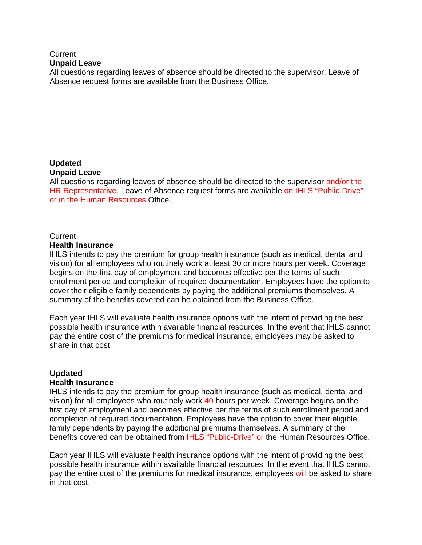#### **Current Unpaid Leave**

All questions regarding leaves of absence should be directed to the supervisor. Leave of Absence request forms are available from the Business Office.

## **Updated**

#### **Unpaid Leave**

All questions regarding leaves of absence should be directed to the supervisor and/or the HR Representative. Leave of Absence request forms are available on IHLS "Public-Drive" or in the Human Resources Office.

## **Current**

#### **Health Insurance**

IHLS intends to pay the premium for group health insurance (such as medical, dental and vision) for all employees who routinely work at least 30 or more hours per week. Coverage begins on the first day of employment and becomes effective per the terms of such enrollment period and completion of required documentation. Employees have the option to cover their eligible family dependents by paying the additional premiums themselves. A summary of the benefits covered can be obtained from the Business Office.

Each year IHLS will evaluate health insurance options with the intent of providing the best possible health insurance within available financial resources. In the event that IHLS cannot pay the entire cost of the premiums for medical insurance, employees may be asked to share in that cost.

## **Updated**

#### **Health Insurance**

IHLS intends to pay the premium for group health insurance (such as medical, dental and vision) for all employees who routinely work 40 hours per week. Coverage begins on the first day of employment and becomes effective per the terms of such enrollment period and completion of required documentation. Employees have the option to cover their eligible family dependents by paying the additional premiums themselves. A summary of the benefits covered can be obtained from IHLS "Public-Drive" or the Human Resources Office.

Each year IHLS will evaluate health insurance options with the intent of providing the best possible health insurance within available financial resources. In the event that IHLS cannot pay the entire cost of the premiums for medical insurance, employees will be asked to share in that cost.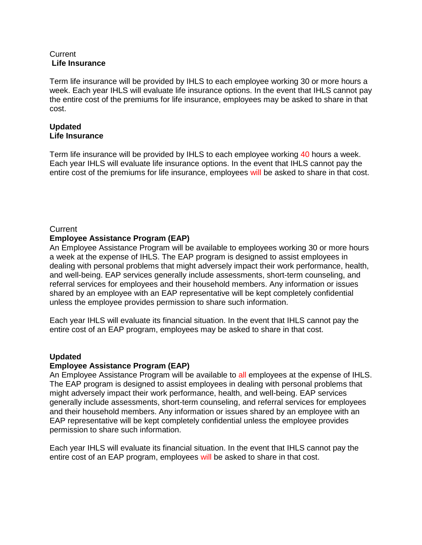### **Current Life Insurance**

Term life insurance will be provided by IHLS to each employee working 30 or more hours a week. Each year IHLS will evaluate life insurance options. In the event that IHLS cannot pay the entire cost of the premiums for life insurance, employees may be asked to share in that cost.

## **Updated Life Insurance**

Term life insurance will be provided by IHLS to each employee working 40 hours a week. Each year IHLS will evaluate life insurance options. In the event that IHLS cannot pay the entire cost of the premiums for life insurance, employees will be asked to share in that cost.

## **Current**

## **Employee Assistance Program (EAP)**

An Employee Assistance Program will be available to employees working 30 or more hours a week at the expense of IHLS. The EAP program is designed to assist employees in dealing with personal problems that might adversely impact their work performance, health, and well-being. EAP services generally include assessments, short-term counseling, and referral services for employees and their household members. Any information or issues shared by an employee with an EAP representative will be kept completely confidential unless the employee provides permission to share such information.

Each year IHLS will evaluate its financial situation. In the event that IHLS cannot pay the entire cost of an EAP program, employees may be asked to share in that cost.

## **Updated**

## **Employee Assistance Program (EAP)**

An Employee Assistance Program will be available to all employees at the expense of IHLS. The EAP program is designed to assist employees in dealing with personal problems that might adversely impact their work performance, health, and well-being. EAP services generally include assessments, short-term counseling, and referral services for employees and their household members. Any information or issues shared by an employee with an EAP representative will be kept completely confidential unless the employee provides permission to share such information.

Each year IHLS will evaluate its financial situation. In the event that IHLS cannot pay the entire cost of an EAP program, employees will be asked to share in that cost.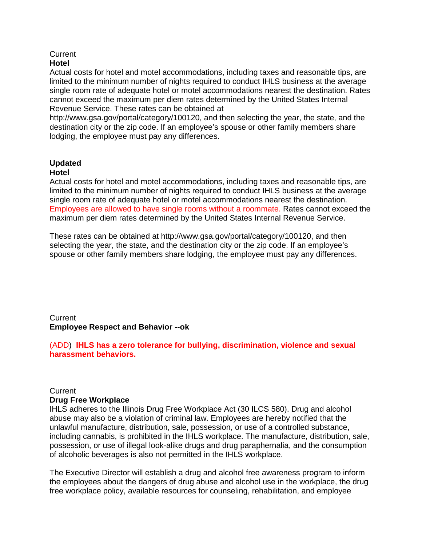## **Current**

## **Hotel**

Actual costs for hotel and motel accommodations, including taxes and reasonable tips, are limited to the minimum number of nights required to conduct IHLS business at the average single room rate of adequate hotel or motel accommodations nearest the destination. Rates cannot exceed the maximum per diem rates determined by the United States Internal Revenue Service. These rates can be obtained at

http://www.gsa.gov/portal/category/100120, and then selecting the year, the state, and the destination city or the zip code. If an employee's spouse or other family members share lodging, the employee must pay any differences.

#### **Updated Hotel**

Actual costs for hotel and motel accommodations, including taxes and reasonable tips, are limited to the minimum number of nights required to conduct IHLS business at the average single room rate of adequate hotel or motel accommodations nearest the destination. Employees are allowed to have single rooms without a roommate. Rates cannot exceed the maximum per diem rates determined by the United States Internal Revenue Service.

These rates can be obtained at http://www.gsa.gov/portal/category/100120, and then selecting the year, the state, and the destination city or the zip code. If an employee's spouse or other family members share lodging, the employee must pay any differences.

**Current Employee Respect and Behavior --ok**

(ADD) **IHLS has a zero tolerance for bullying, discrimination, violence and sexual harassment behaviors.**

### **Current Drug Free Workplace**

IHLS adheres to the Illinois Drug Free Workplace Act (30 ILCS 580). Drug and alcohol abuse may also be a violation of criminal law. Employees are hereby notified that the unlawful manufacture, distribution, sale, possession, or use of a controlled substance, including cannabis, is prohibited in the IHLS workplace. The manufacture, distribution, sale, possession, or use of illegal look-alike drugs and drug paraphernalia, and the consumption of alcoholic beverages is also not permitted in the IHLS workplace.

The Executive Director will establish a drug and alcohol free awareness program to inform the employees about the dangers of drug abuse and alcohol use in the workplace, the drug free workplace policy, available resources for counseling, rehabilitation, and employee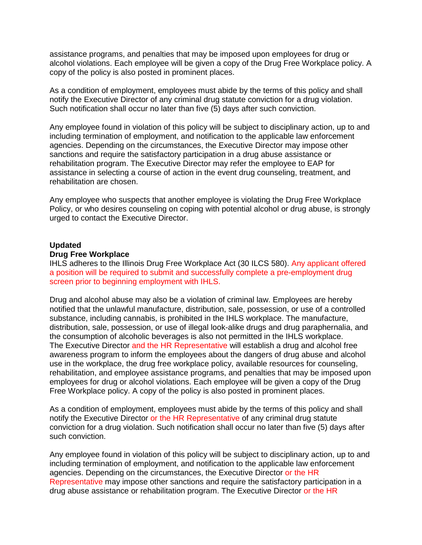assistance programs, and penalties that may be imposed upon employees for drug or alcohol violations. Each employee will be given a copy of the Drug Free Workplace policy. A copy of the policy is also posted in prominent places.

As a condition of employment, employees must abide by the terms of this policy and shall notify the Executive Director of any criminal drug statute conviction for a drug violation. Such notification shall occur no later than five (5) days after such conviction.

Any employee found in violation of this policy will be subject to disciplinary action, up to and including termination of employment, and notification to the applicable law enforcement agencies. Depending on the circumstances, the Executive Director may impose other sanctions and require the satisfactory participation in a drug abuse assistance or rehabilitation program. The Executive Director may refer the employee to EAP for assistance in selecting a course of action in the event drug counseling, treatment, and rehabilitation are chosen.

Any employee who suspects that another employee is violating the Drug Free Workplace Policy, or who desires counseling on coping with potential alcohol or drug abuse, is strongly urged to contact the Executive Director.

#### **Updated**

#### **Drug Free Workplace**

IHLS adheres to the Illinois Drug Free Workplace Act (30 ILCS 580). Any applicant offered a position will be required to submit and successfully complete a pre-employment drug screen prior to beginning employment with IHLS.

Drug and alcohol abuse may also be a violation of criminal law. Employees are hereby notified that the unlawful manufacture, distribution, sale, possession, or use of a controlled substance, including cannabis, is prohibited in the IHLS workplace. The manufacture, distribution, sale, possession, or use of illegal look-alike drugs and drug paraphernalia, and the consumption of alcoholic beverages is also not permitted in the IHLS workplace. The Executive Director and the HR Representative will establish a drug and alcohol free awareness program to inform the employees about the dangers of drug abuse and alcohol use in the workplace, the drug free workplace policy, available resources for counseling, rehabilitation, and employee assistance programs, and penalties that may be imposed upon employees for drug or alcohol violations. Each employee will be given a copy of the Drug Free Workplace policy. A copy of the policy is also posted in prominent places.

As a condition of employment, employees must abide by the terms of this policy and shall notify the Executive Director or the HR Representative of any criminal drug statute conviction for a drug violation. Such notification shall occur no later than five (5) days after such conviction.

Any employee found in violation of this policy will be subject to disciplinary action, up to and including termination of employment, and notification to the applicable law enforcement agencies. Depending on the circumstances, the Executive Director or the HR Representative may impose other sanctions and require the satisfactory participation in a drug abuse assistance or rehabilitation program. The Executive Director or the HR